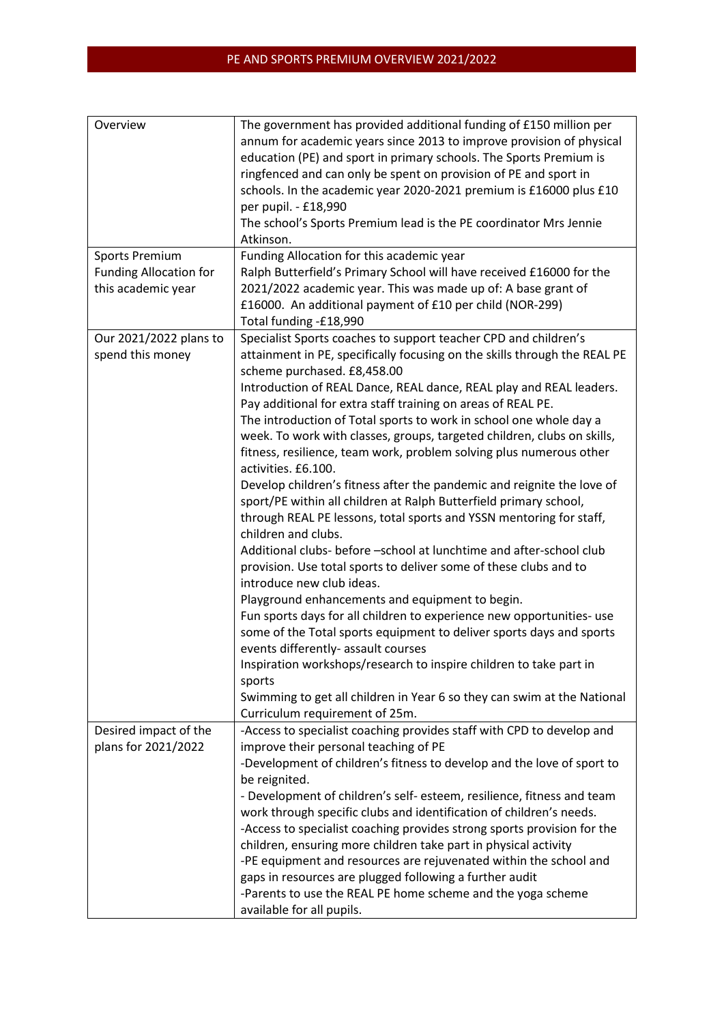| Overview                      | The government has provided additional funding of £150 million per        |
|-------------------------------|---------------------------------------------------------------------------|
|                               | annum for academic years since 2013 to improve provision of physical      |
|                               | education (PE) and sport in primary schools. The Sports Premium is        |
|                               | ringfenced and can only be spent on provision of PE and sport in          |
|                               | schools. In the academic year 2020-2021 premium is £16000 plus £10        |
|                               | per pupil. - £18,990                                                      |
|                               | The school's Sports Premium lead is the PE coordinator Mrs Jennie         |
|                               | Atkinson.                                                                 |
| <b>Sports Premium</b>         | Funding Allocation for this academic year                                 |
| <b>Funding Allocation for</b> | Ralph Butterfield's Primary School will have received £16000 for the      |
| this academic year            | 2021/2022 academic year. This was made up of: A base grant of             |
|                               | £16000. An additional payment of £10 per child (NOR-299)                  |
|                               |                                                                           |
|                               | Total funding -£18,990                                                    |
| Our 2021/2022 plans to        | Specialist Sports coaches to support teacher CPD and children's           |
| spend this money              | attainment in PE, specifically focusing on the skills through the REAL PE |
|                               | scheme purchased. £8,458.00                                               |
|                               | Introduction of REAL Dance, REAL dance, REAL play and REAL leaders.       |
|                               | Pay additional for extra staff training on areas of REAL PE.              |
|                               | The introduction of Total sports to work in school one whole day a        |
|                               | week. To work with classes, groups, targeted children, clubs on skills,   |
|                               | fitness, resilience, team work, problem solving plus numerous other       |
|                               | activities. £6.100.                                                       |
|                               | Develop children's fitness after the pandemic and reignite the love of    |
|                               | sport/PE within all children at Ralph Butterfield primary school,         |
|                               | through REAL PE lessons, total sports and YSSN mentoring for staff,       |
|                               | children and clubs.                                                       |
|                               | Additional clubs- before -school at lunchtime and after-school club       |
|                               | provision. Use total sports to deliver some of these clubs and to         |
|                               | introduce new club ideas.                                                 |
|                               | Playground enhancements and equipment to begin.                           |
|                               | Fun sports days for all children to experience new opportunities- use     |
|                               | some of the Total sports equipment to deliver sports days and sports      |
|                               | events differently- assault courses                                       |
|                               | Inspiration workshops/research to inspire children to take part in        |
|                               | sports                                                                    |
|                               | Swimming to get all children in Year 6 so they can swim at the National   |
|                               | Curriculum requirement of 25m.                                            |
| Desired impact of the         | -Access to specialist coaching provides staff with CPD to develop and     |
| plans for 2021/2022           | improve their personal teaching of PE                                     |
|                               | -Development of children's fitness to develop and the love of sport to    |
|                               | be reignited.                                                             |
|                               | - Development of children's self-esteem, resilience, fitness and team     |
|                               | work through specific clubs and identification of children's needs.       |
|                               | -Access to specialist coaching provides strong sports provision for the   |
|                               | children, ensuring more children take part in physical activity           |
|                               | -PE equipment and resources are rejuvenated within the school and         |
|                               | gaps in resources are plugged following a further audit                   |
|                               | -Parents to use the REAL PE home scheme and the yoga scheme               |
|                               |                                                                           |
|                               | available for all pupils.                                                 |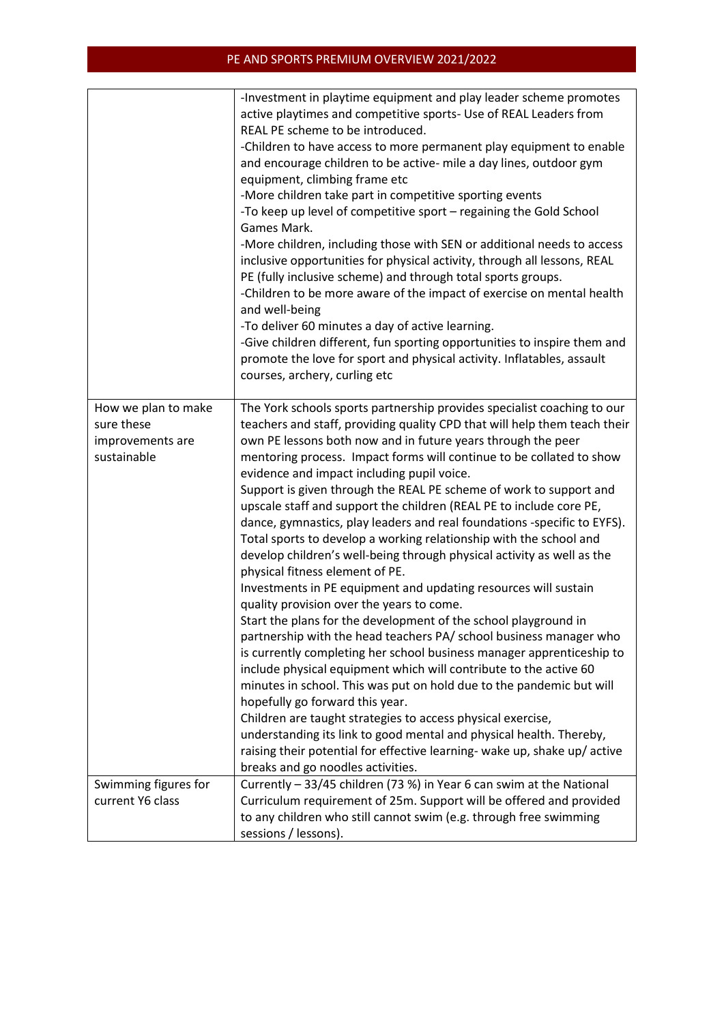## PE AND SPORTS PREMIUM OVERVIEW 2021/2022

|                                                                      | -Investment in playtime equipment and play leader scheme promotes<br>active playtimes and competitive sports- Use of REAL Leaders from<br>REAL PE scheme to be introduced.<br>-Children to have access to more permanent play equipment to enable<br>and encourage children to be active- mile a day lines, outdoor gym<br>equipment, climbing frame etc<br>-More children take part in competitive sporting events<br>-To keep up level of competitive sport - regaining the Gold School<br>Games Mark.<br>-More children, including those with SEN or additional needs to access<br>inclusive opportunities for physical activity, through all lessons, REAL<br>PE (fully inclusive scheme) and through total sports groups.<br>-Children to be more aware of the impact of exercise on mental health<br>and well-being<br>-To deliver 60 minutes a day of active learning.<br>-Give children different, fun sporting opportunities to inspire them and<br>promote the love for sport and physical activity. Inflatables, assault<br>courses, archery, curling etc                                                                                                                                                                                                                                                                                                                                                                                                                                                             |
|----------------------------------------------------------------------|----------------------------------------------------------------------------------------------------------------------------------------------------------------------------------------------------------------------------------------------------------------------------------------------------------------------------------------------------------------------------------------------------------------------------------------------------------------------------------------------------------------------------------------------------------------------------------------------------------------------------------------------------------------------------------------------------------------------------------------------------------------------------------------------------------------------------------------------------------------------------------------------------------------------------------------------------------------------------------------------------------------------------------------------------------------------------------------------------------------------------------------------------------------------------------------------------------------------------------------------------------------------------------------------------------------------------------------------------------------------------------------------------------------------------------------------------------------------------------------------------------------------------------|
| How we plan to make<br>sure these<br>improvements are<br>sustainable | The York schools sports partnership provides specialist coaching to our<br>teachers and staff, providing quality CPD that will help them teach their<br>own PE lessons both now and in future years through the peer<br>mentoring process. Impact forms will continue to be collated to show<br>evidence and impact including pupil voice.<br>Support is given through the REAL PE scheme of work to support and<br>upscale staff and support the children (REAL PE to include core PE,<br>dance, gymnastics, play leaders and real foundations -specific to EYFS).<br>Total sports to develop a working relationship with the school and<br>develop children's well-being through physical activity as well as the<br>physical fitness element of PE.<br>Investments in PE equipment and updating resources will sustain<br>quality provision over the years to come.<br>Start the plans for the development of the school playground in<br>partnership with the head teachers PA/ school business manager who<br>is currently completing her school business manager apprenticeship to<br>include physical equipment which will contribute to the active 60<br>minutes in school. This was put on hold due to the pandemic but will<br>hopefully go forward this year.<br>Children are taught strategies to access physical exercise,<br>understanding its link to good mental and physical health. Thereby,<br>raising their potential for effective learning- wake up, shake up/ active<br>breaks and go noodles activities. |
| Swimming figures for<br>current Y6 class                             | Currently - 33/45 children (73 %) in Year 6 can swim at the National<br>Curriculum requirement of 25m. Support will be offered and provided<br>to any children who still cannot swim (e.g. through free swimming<br>sessions / lessons).                                                                                                                                                                                                                                                                                                                                                                                                                                                                                                                                                                                                                                                                                                                                                                                                                                                                                                                                                                                                                                                                                                                                                                                                                                                                                         |